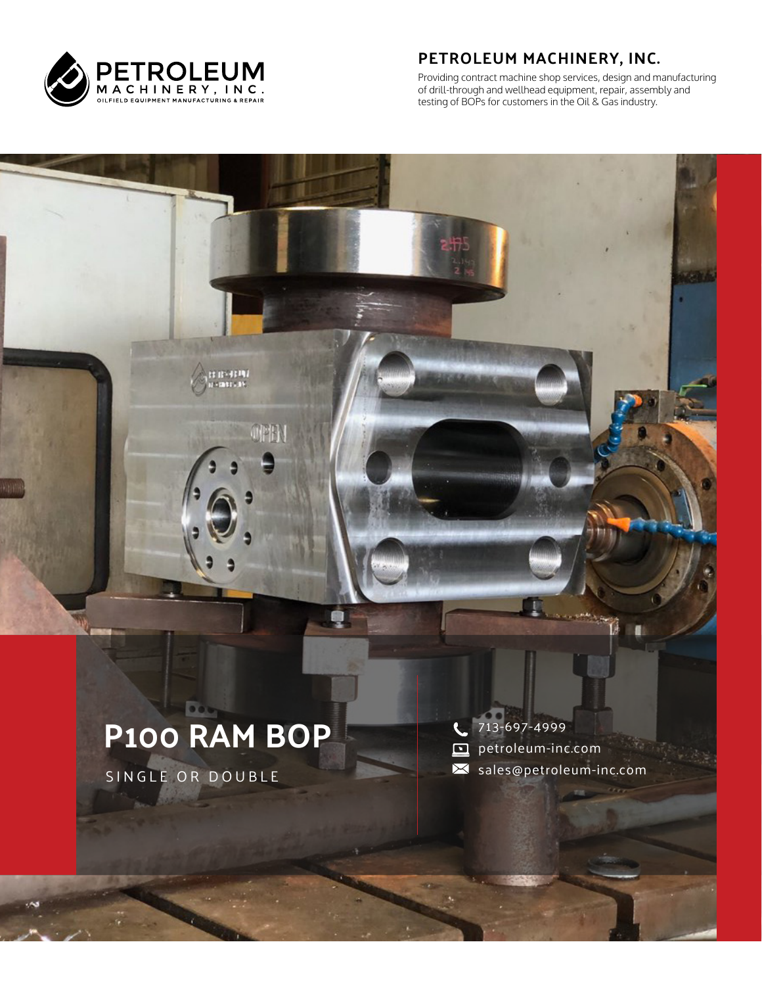

#### **PETROLEUM MACHINERY, INC.**

Providing contract machine shop services, design and manufacturing of drill-through and wellhead equipment, repair, assembly and testing of BOPs for customers in the Oil & Gas industry.

# **P100 RAM BOP**

er er-drima<br>Heimarca av

OFB

SINGLE OR DOUBLE

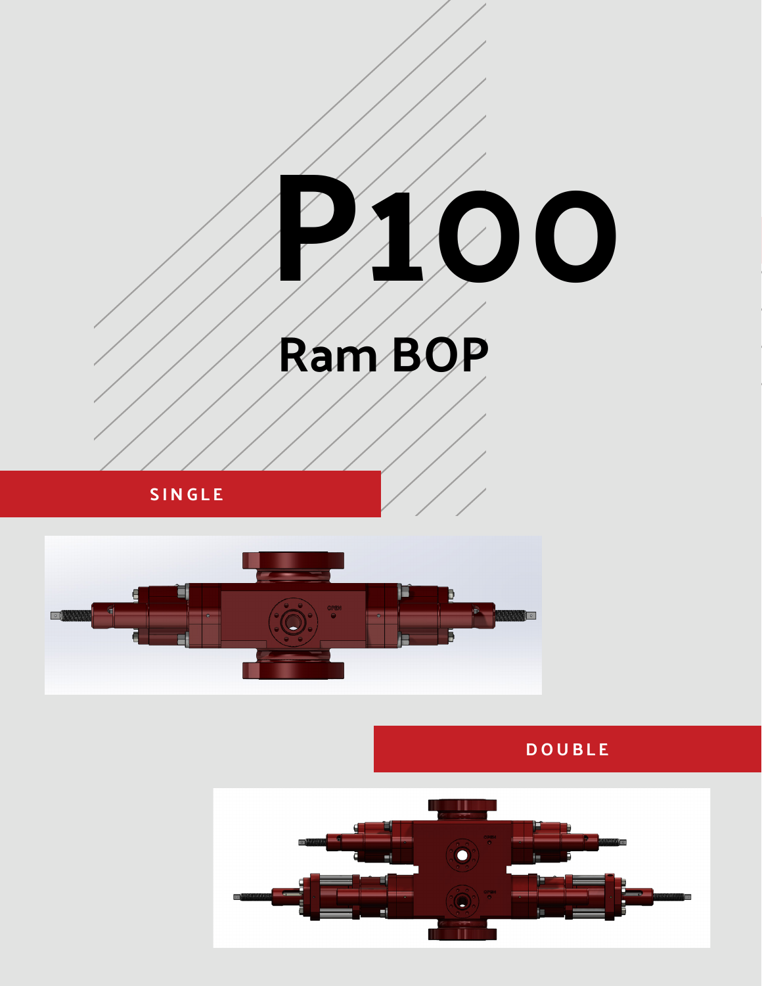

**SINGLE**



**DOUBLE**

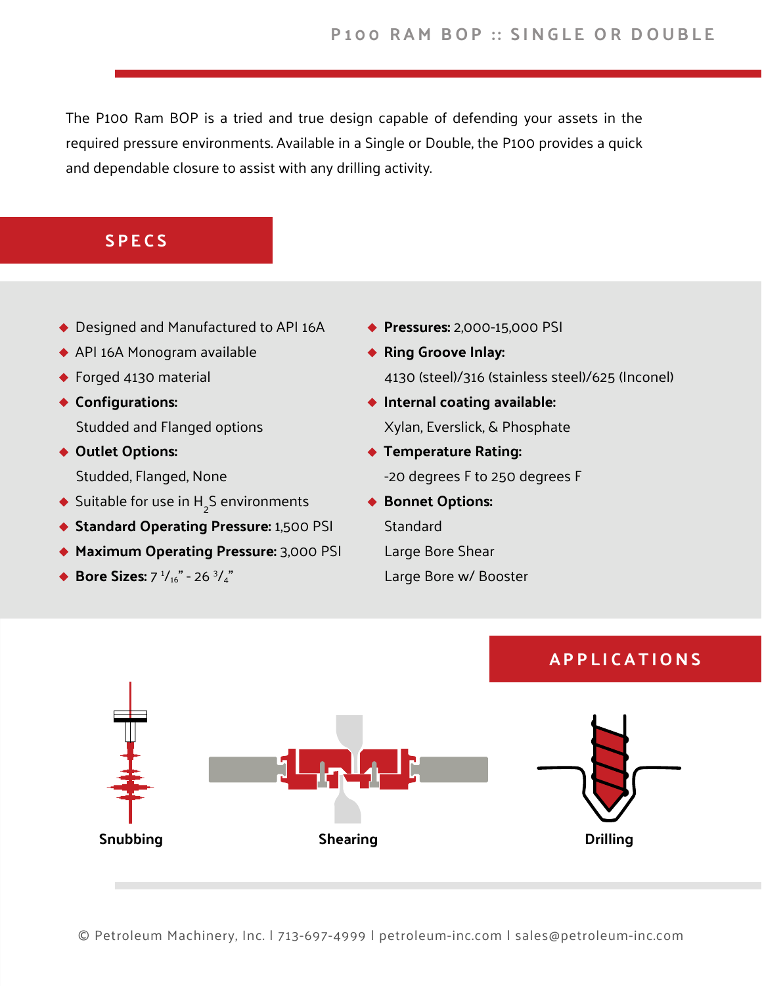The P100 Ram BOP is a tried and true design capable of defending your assets in the required pressure environments. Available in a Single or Double, the P100 provides a quick and dependable closure to assist with any drilling activity.

#### **SPECS**

- ◆ Designed and Manufactured to API 16A
- API 16A Monogram available
- ◆ Forged 4130 material
- **Configurations:** Studded and Flanged options
- ◆ Outlet Options: Studded, Flanged, None
- Suitable for use in  $H_2^S$  environments
- **Standard Operating Pressure:** 1,500 PSI
- **Maximum Operating Pressure:** 3,000 PSI
- **Bore Sizes:**  $7 \frac{1}{16}$   $\degree$  26  $\frac{3}{4}$
- **Pressures:** 2,000-15,000 PSI
- **Ring Groove Inlay:**  4130 (steel)/316 (stainless steel)/625 (Inconel)
- **Internal coating available:** Xylan, Everslick, & Phosphate
- **Temperature Rating:**  -20 degrees F to 250 degrees F
- ◆ Bonnet Options: Standard Large Bore Shear Large Bore w/ Booster

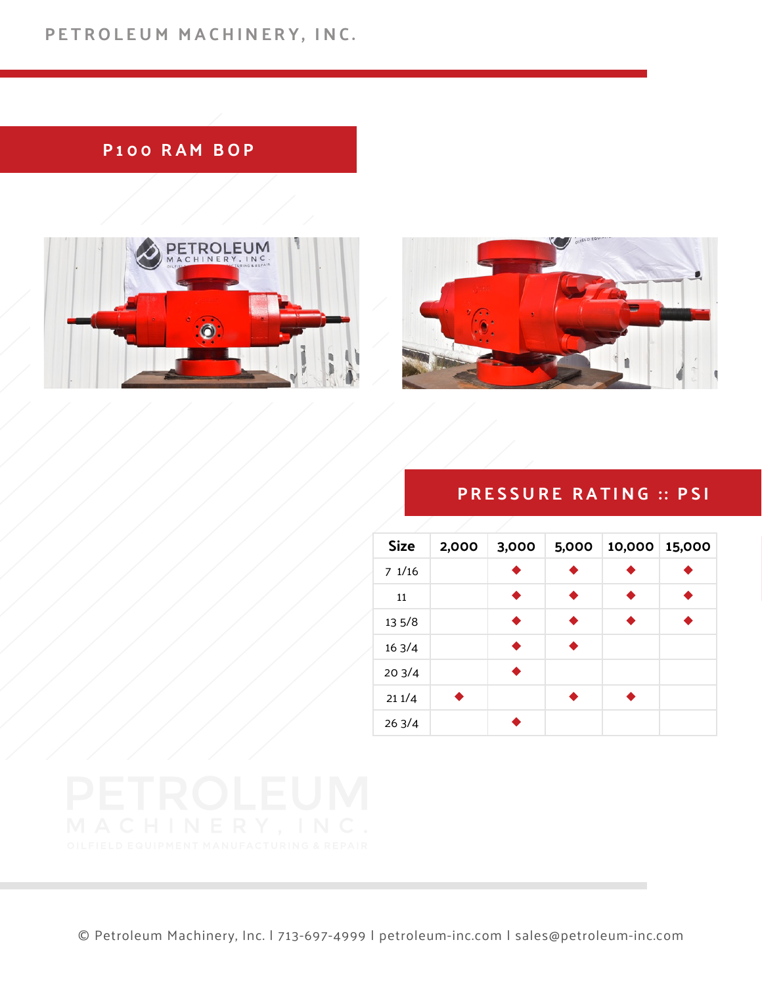# **PETROLEUM MACHINERY, INC.**

# **P100 RAM BOP**





#### **PRESSURE RATING :: PSI**

| <b>Size</b> | 2,000 | 3,000 | 5,000 | 10,000 15,000 |  |
|-------------|-------|-------|-------|---------------|--|
| 71/16       |       |       |       |               |  |
| 11          |       | ♦     |       |               |  |
| 13 5/8      |       | ♦     |       |               |  |
| 163/4       |       | ▲     |       |               |  |
| 203/4       |       |       |       |               |  |
| 211/4       |       |       |       |               |  |
| 263/4       |       |       |       |               |  |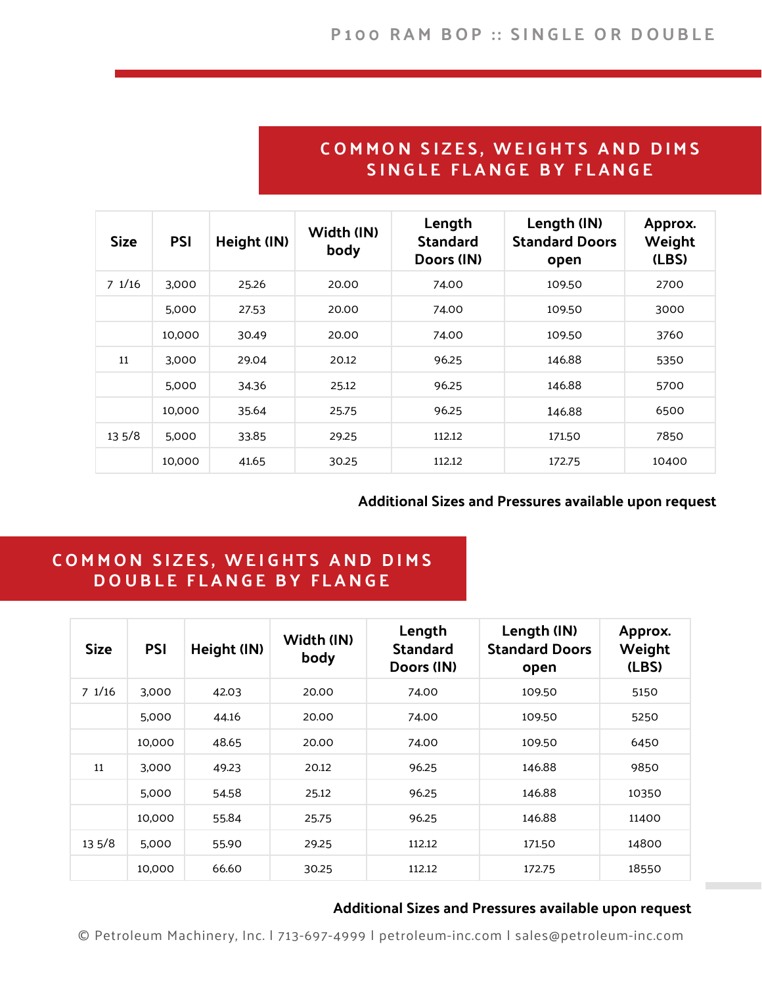#### **COMMON SIZES, WEIGHTS AND DIMS SINGLE FLANGE BY FLANGE**

| <b>Size</b> | <b>PSI</b> | Height (IN) | Width (IN)<br>body | Length<br><b>Standard</b><br>Doors (IN) | Length (IN)<br><b>Standard Doors</b><br>open | Approx.<br>Weight<br>(LBS) |
|-------------|------------|-------------|--------------------|-----------------------------------------|----------------------------------------------|----------------------------|
| 71/16       | 3,000      | 25.26       | 20.00              | 74.00                                   | 109.50                                       | 2700                       |
|             | 5,000      | 27.53       | 20.00              | 74.00                                   | 109.50                                       | 3000                       |
|             | 10,000     | 30.49       | 20.00              | 74.00                                   | 109.50                                       | 3760                       |
| 11          | 3,000      | 29.04       | 20.12              | 96.25                                   | 146.88                                       | 5350                       |
|             | 5,000      | 34.36       | 25.12              | 96.25                                   | 146.88                                       | 5700                       |
|             | 10,000     | 35.64       | 25.75              | 96.25                                   | 146.88                                       | 6500                       |
| 135/8       | 5,000      | 33.85       | 29.25              | 112.12                                  | 171.50                                       | 7850                       |
|             | 10,000     | 41.65       | 30.25              | 112.12                                  | 172.75                                       | 10400                      |

#### **Additional Sizes and Pressures available upon request**

## **COMMON SIZES, WEIGHTS AND DIMS DOUBLE FLANGE BY FLANGE**

| <b>Size</b> | <b>PSI</b> | Height (IN) | Width (IN)<br>body | Length<br><b>Standard</b><br>Doors (IN) | Length (IN)<br><b>Standard Doors</b><br>open | Approx.<br>Weight<br>(LBS) |
|-------------|------------|-------------|--------------------|-----------------------------------------|----------------------------------------------|----------------------------|
| 71/16       | 3,000      | 42.03       | 20.00              | 74.00                                   | 109.50                                       | 5150                       |
|             | 5,000      | 44.16       | 20.00              | 74.00                                   | 109.50                                       | 5250                       |
|             | 10,000     | 48.65       | 20.00              | 74.00                                   | 109.50                                       | 6450                       |
| 11          | 3,000      | 49.23       | 20.12              | 96.25                                   | 146.88                                       | 9850                       |
|             | 5,000      | 54.58       | 25.12              | 96.25                                   | 146.88                                       | 10350                      |
|             | 10,000     | 55.84       | 25.75              | 96.25                                   | 146.88                                       | 11400                      |
| 135/8       | 5,000      | 55.90       | 29.25              | 112.12                                  | 171.50                                       | 14800                      |
|             | 10,000     | 66.60       | 30.25              | 112.12                                  | 172.75                                       | 18550                      |

#### **Additional Sizes and Pressures available upon request**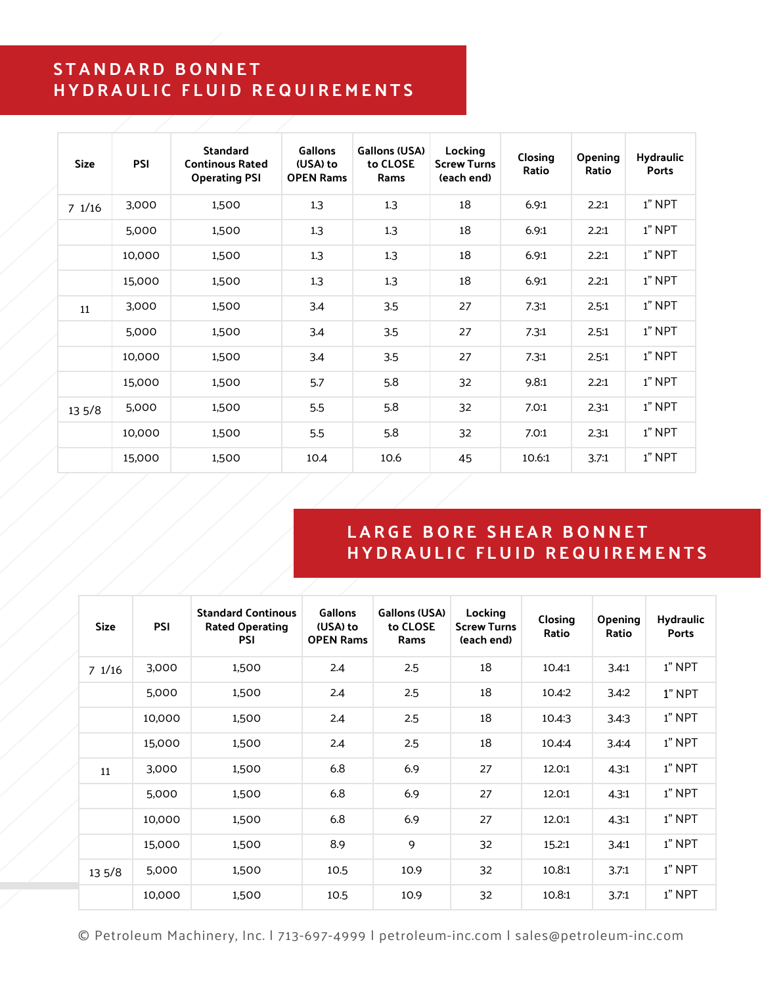#### **STANDARD BONNET HYDRAULIC FLUID REQUIREMENTS**

| <b>Size</b> | PSI    | <b>Standard</b><br><b>Continous Rated</b><br><b>Operating PSI</b> | <b>Gallons</b><br>(USA) to<br><b>OPEN Rams</b> | <b>Gallons (USA)</b><br>to CLOSE<br>Rams | Locking<br><b>Screw Turns</b><br>(each end) | Closing<br>Ratio | Opening<br>Ratio | <b>Hydraulic</b><br><b>Ports</b> |
|-------------|--------|-------------------------------------------------------------------|------------------------------------------------|------------------------------------------|---------------------------------------------|------------------|------------------|----------------------------------|
| 71/16       | 3,000  | 1,500                                                             | 1.3                                            | 1.3                                      | 18                                          | 6.9:1            | 2.2:1            | 1" NPT                           |
|             | 5,000  | 1,500                                                             | 1.3                                            | 1.3                                      | 18                                          | 6.9:1            | 2.2:1            | 1" NPT                           |
|             | 10,000 | 1,500                                                             | 1.3                                            | 1.3                                      | 18                                          | 6.9:1            | 2.2:1            | 1" NPT                           |
|             | 15,000 | 1,500                                                             | 1.3                                            | 1.3                                      | 18                                          | 6.9:1            | 2.2:1            | 1" NPT                           |
| 11          | 3,000  | 1,500                                                             | 3.4                                            | 3.5                                      | 27                                          | 7.3:1            | 2.5:1            | 1" NPT                           |
|             | 5,000  | 1,500                                                             | 3.4                                            | 3.5                                      | 27                                          | 7.3:1            | 2.5:1            | 1" NPT                           |
|             | 10,000 | 1,500                                                             | 3.4                                            | 3.5                                      | 27                                          | 7.3:1            | 2.5:1            | 1" NPT                           |
|             | 15,000 | 1,500                                                             | 5.7                                            | 5.8                                      | 32                                          | 9.8:1            | 2.2:1            | 1" NPT                           |
| 135/8       | 5,000  | 1,500                                                             | 5.5                                            | 5.8                                      | 32                                          | 7.0:1            | 2.3:1            | 1" NPT                           |
|             | 10,000 | 1,500                                                             | 5.5                                            | 5.8                                      | 32                                          | 7.0:1            | 2.3:1            | 1" NPT                           |
|             | 15,000 | 1,500                                                             | 10.4                                           | 10.6                                     | 45                                          | 10.6:1           | 3.7:1            | 1" NPT                           |

### **LARGE BORE SHEAR BONNET HYDRAULIC FLUID REQUIREMENTS**

| <b>Size</b> | <b>PSI</b> | <b>Standard Continous</b><br><b>Rated Operating</b><br><b>PSI</b> | <b>Gallons</b><br>(USA) to<br><b>OPEN Rams</b> | <b>Gallons (USA)</b><br>to CLOSE<br>Rams | Locking<br><b>Screw Turns</b><br>(each end) | Closing<br>Ratio | <b>Opening</b><br>Ratio | <b>Hydraulic</b><br><b>Ports</b> |
|-------------|------------|-------------------------------------------------------------------|------------------------------------------------|------------------------------------------|---------------------------------------------|------------------|-------------------------|----------------------------------|
| 71/16       | 3,000      | 1,500                                                             | 2.4                                            | 2.5                                      | 18                                          | 10.4:1           | 3.4:1                   | $1"$ NPT                         |
|             | 5,000      | 1,500                                                             | 2.4                                            | 2.5                                      | 18                                          | 10.4:2           | 3.4:2                   | 1" NPT                           |
|             | 10,000     | 1,500                                                             | 2.4                                            | 2.5                                      | 18                                          | 10.4:3           | 3.4:3                   | 1" NPT                           |
|             | 15,000     | 1,500                                                             | 2.4                                            | 2.5                                      | 18                                          | 10.4:4           | 3.4:4                   | 1" NPT                           |
| 11          | 3,000      | 1,500                                                             | 6.8                                            | 6.9                                      | 27                                          | 12.0:1           | 4.3:1                   | 1" NPT                           |
|             | 5,000      | 1,500                                                             | 6.8                                            | 6.9                                      | 27                                          | 12.0:1           | 4.3:1                   | 1" NPT                           |
|             | 10,000     | 1,500                                                             | 6.8                                            | 6.9                                      | 27                                          | 12.0:1           | 4.3:1                   | 1" NPT                           |
|             | 15,000     | 1,500                                                             | 8.9                                            | 9                                        | 32                                          | 15.2:1           | 3.4:1                   | 1" NPT                           |
| 135/8       | 5,000      | 1,500                                                             | 10.5                                           | 10.9                                     | 32                                          | 10.8:1           | 3.7:1                   | $1"$ NPT                         |
|             | 10,000     | 1,500                                                             | 10.5                                           | 10.9                                     | 32                                          | 10.8:1           | 3.7:1                   | 1" NPT                           |